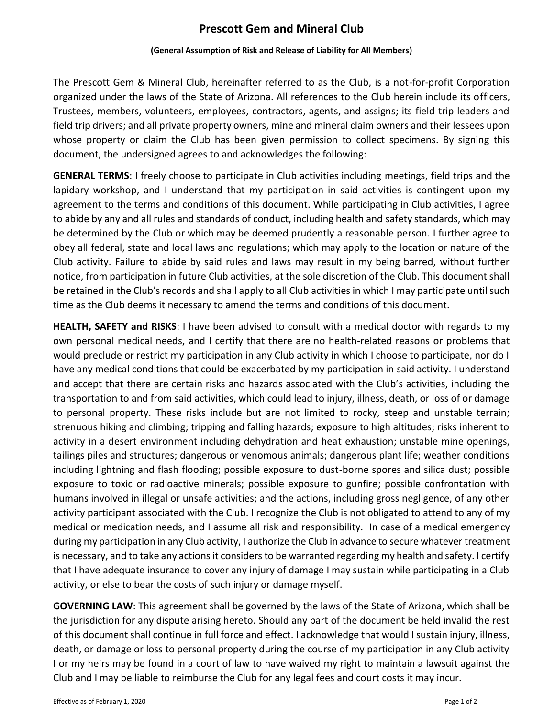# **Prescott Gem and Mineral Club**

#### **(General Assumption of Risk and Release of Liability for All Members)**

The Prescott Gem & Mineral Club, hereinafter referred to as the Club, is a not-for-profit Corporation organized under the laws of the State of Arizona. All references to the Club herein include its officers, Trustees, members, volunteers, employees, contractors, agents, and assigns; its field trip leaders and field trip drivers; and all private property owners, mine and mineral claim owners and their lessees upon whose property or claim the Club has been given permission to collect specimens. By signing this document, the undersigned agrees to and acknowledges the following:

**GENERAL TERMS**: I freely choose to participate in Club activities including meetings, field trips and the lapidary workshop, and I understand that my participation in said activities is contingent upon my agreement to the terms and conditions of this document. While participating in Club activities, I agree to abide by any and all rules and standards of conduct, including health and safety standards, which may be determined by the Club or which may be deemed prudently a reasonable person. I further agree to obey all federal, state and local laws and regulations; which may apply to the location or nature of the Club activity. Failure to abide by said rules and laws may result in my being barred, without further notice, from participation in future Club activities, at the sole discretion of the Club. This document shall be retained in the Club's records and shall apply to all Club activities in which I may participate until such time as the Club deems it necessary to amend the terms and conditions of this document.

**HEALTH, SAFETY and RISKS**: I have been advised to consult with a medical doctor with regards to my own personal medical needs, and I certify that there are no health-related reasons or problems that would preclude or restrict my participation in any Club activity in which I choose to participate, nor do I have any medical conditions that could be exacerbated by my participation in said activity. I understand and accept that there are certain risks and hazards associated with the Club's activities, including the transportation to and from said activities, which could lead to injury, illness, death, or loss of or damage to personal property. These risks include but are not limited to rocky, steep and unstable terrain; strenuous hiking and climbing; tripping and falling hazards; exposure to high altitudes; risks inherent to activity in a desert environment including dehydration and heat exhaustion; unstable mine openings, tailings piles and structures; dangerous or venomous animals; dangerous plant life; weather conditions including lightning and flash flooding; possible exposure to dust-borne spores and silica dust; possible exposure to toxic or radioactive minerals; possible exposure to gunfire; possible confrontation with humans involved in illegal or unsafe activities; and the actions, including gross negligence, of any other activity participant associated with the Club. I recognize the Club is not obligated to attend to any of my medical or medication needs, and I assume all risk and responsibility. In case of a medical emergency during my participation in any Club activity, I authorize the Club in advance to secure whatever treatment is necessary, and to take any actions it considers to be warranted regarding my health and safety. I certify that I have adequate insurance to cover any injury of damage I may sustain while participating in a Club activity, or else to bear the costs of such injury or damage myself.

**GOVERNING LAW**: This agreement shall be governed by the laws of the State of Arizona, which shall be the jurisdiction for any dispute arising hereto. Should any part of the document be held invalid the rest of this document shall continue in full force and effect. I acknowledge that would I sustain injury, illness, death, or damage or loss to personal property during the course of my participation in any Club activity I or my heirs may be found in a court of law to have waived my right to maintain a lawsuit against the Club and I may be liable to reimburse the Club for any legal fees and court costs it may incur.